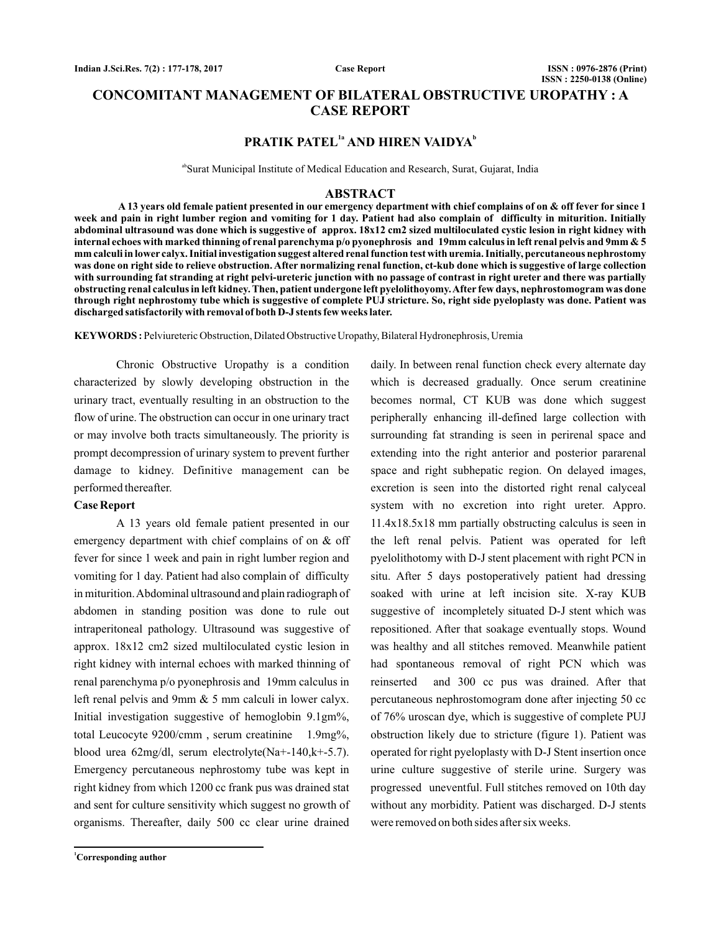**Case Report**

# **CONCOMITANT MANAGEMENT OF BILATERAL OBSTRUCTIVE UROPATHY : A CASE REPORT**

## **PRATIK PATEL<sup>1a</sup> AND HIREN VAIDYA<sup>b</sup>**

abSurat Municipal Institute of Medical Education and Research, Surat, Gujarat, India

#### **ABSTRACT**

**A 13 years old female patient presented in our emergency department with chief complains of on & off fever for since 1 week and pain in right lumber region and vomiting for 1 day. Patient had also complain of difficulty in miturition. Initially abdominal ultrasound was done which is suggestive of approx. 18x12 cm2 sized multiloculated cystic lesion in right kidney with internal echoes with marked thinning of renal parenchyma p/o pyonephrosis and 19mm calculus in left renal pelvis and 9mm & 5 mm calculi in lower calyx. Initial investigation suggest altered renal function test with uremia. Initially, percutaneous nephrostomy was done on right side to relieve obstruction. After normalizing renal function, ct-kub done which is suggestive of large collection with surrounding fat stranding at right pelvi-ureteric junction with no passage of contrast in right ureter and there was partially obstructing renal calculus in left kidney. Then, patient undergone left pyelolithoyomy.After few days, nephrostomogram was done through right nephrostomy tube which is suggestive of complete PUJ stricture. So, right side pyeloplasty was done. Patient was discharged satisfactorily with removal of both D-J stents few weeks later.**

KEYWORDS: Pelviureteric Obstruction, Dilated Obstructive Uropathy, Bilateral Hydronephrosis, Uremia

Chronic Obstructive Uropathy is a condition characterized by slowly developing obstruction in the urinary tract, eventually resulting in an obstruction to the flow of urine. The obstruction can occur in one urinary tract or may involve both tracts simultaneously. The priority is prompt decompression of urinary system to prevent further damage to kidney. Definitive management can be performed thereafter.

### **Case Report**

A 13 years old female patient presented in our emergency department with chief complains of on & off fever for since 1 week and pain in right lumber region and vomiting for 1 day. Patient had also complain of difficulty in miturition.Abdominal ultrasound and plain radiograph of abdomen in standing position was done to rule out intraperitoneal pathology. Ultrasound was suggestive of approx. 18x12 cm2 sized multiloculated cystic lesion in right kidney with internal echoes with marked thinning of renal parenchyma p/o pyonephrosis and 19mm calculus in left renal pelvis and 9mm & 5 mm calculi in lower calyx. Initial investigation suggestive of hemoglobin 9.1gm%, total Leucocyte 9200/cmm , serum creatinine 1.9mg%, blood urea 62mg/dl, serum electrolyte(Na+-140,k+-5.7). Emergency percutaneous nephrostomy tube was kept in right kidney from which 1200 cc frank pus was drained stat and sent for culture sensitivity which suggest no growth of organisms. Thereafter, daily 500 cc clear urine drained

**<sup>1</sup>Corresponding author**

daily. In between renal function check every alternate day which is decreased gradually. Once serum creatinine becomes normal, CT KUB was done which suggest peripherally enhancing ill-defined large collection with surrounding fat stranding is seen in perirenal space and extending into the right anterior and posterior pararenal space and right subhepatic region. On delayed images, excretion is seen into the distorted right renal calyceal system with no excretion into right ureter. Appro. 11.4x18.5x18 mm partially obstructing calculus is seen in the left renal pelvis. Patient was operated for left pyelolithotomy with D-J stent placement with right PCN in situ. After 5 days postoperatively patient had dressing soaked with urine at left incision site. X-ray KUB suggestive of incompletely situated D-J stent which was repositioned. After that soakage eventually stops. Wound was healthy and all stitches removed. Meanwhile patient had spontaneous removal of right PCN which was reinserted and 300 cc pus was drained. After that percutaneous nephrostomogram done after injecting 50 cc of 76% uroscan dye, which is suggestive of complete PUJ obstruction likely due to stricture (figure 1). Patient was operated for right pyeloplasty with D-J Stent insertion once urine culture suggestive of sterile urine. Surgery was progressed uneventful. Full stitches removed on 10th day without any morbidity. Patient was discharged. D-J stents were removed on both sides after six weeks.